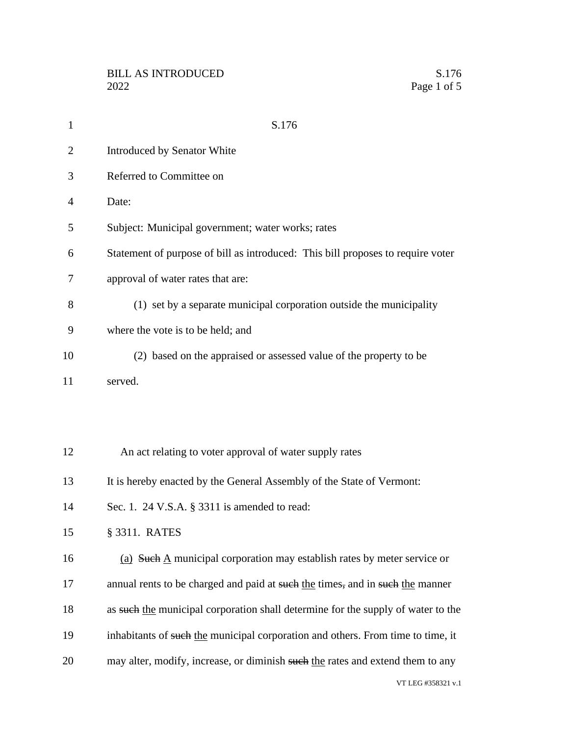| S.176                                                                            |
|----------------------------------------------------------------------------------|
| Introduced by Senator White                                                      |
| Referred to Committee on                                                         |
| Date:                                                                            |
| Subject: Municipal government; water works; rates                                |
| Statement of purpose of bill as introduced: This bill proposes to require voter  |
| approval of water rates that are:                                                |
| (1) set by a separate municipal corporation outside the municipality             |
| where the vote is to be held; and                                                |
| (2) based on the appraised or assessed value of the property to be               |
| served.                                                                          |
|                                                                                  |
|                                                                                  |
| An act relating to voter approval of water supply rates                          |
| It is hereby enacted by the General Assembly of the State of Vermont:            |
| Sec. 1. 24 V.S.A. § 3311 is amended to read:                                     |
| § 3311. RATES                                                                    |
| (a) Such A municipal corporation may establish rates by meter service or         |
| annual rents to be charged and paid at such the times, and in such the manner    |
| as such the municipal corporation shall determine for the supply of water to the |
| inhabitants of such the municipal corporation and others. From time to time, it  |
| may alter, modify, increase, or diminish such the rates and extend them to any   |
|                                                                                  |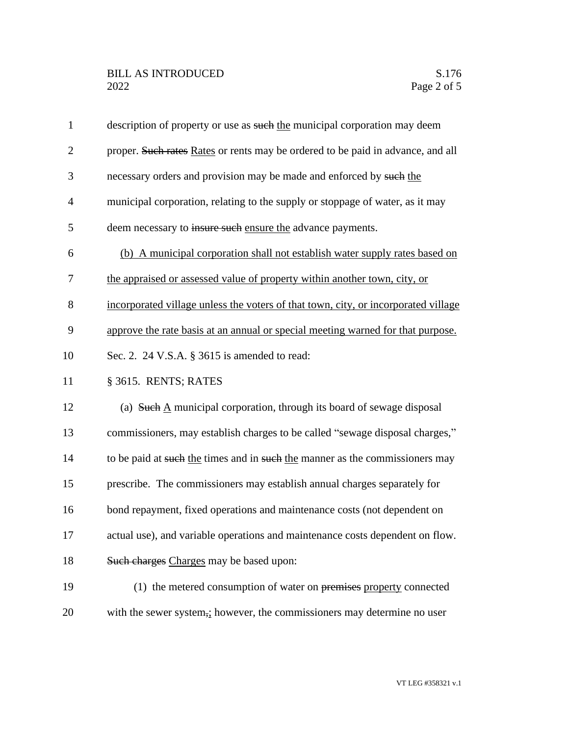| $\mathbf{1}$   | description of property or use as such the municipal corporation may deem            |
|----------------|--------------------------------------------------------------------------------------|
| $\overline{2}$ | proper. Such rates Rates or rents may be ordered to be paid in advance, and all      |
| 3              | necessary orders and provision may be made and enforced by such the                  |
| $\overline{4}$ | municipal corporation, relating to the supply or stoppage of water, as it may        |
| 5              | deem necessary to insure such ensure the advance payments.                           |
| 6              | (b) A municipal corporation shall not establish water supply rates based on          |
| 7              | the appraised or assessed value of property within another town, city, or            |
| 8              | incorporated village unless the voters of that town, city, or incorporated village   |
| 9              | approve the rate basis at an annual or special meeting warned for that purpose.      |
| 10             | Sec. 2. 24 V.S.A. § 3615 is amended to read:                                         |
| 11             | § 3615. RENTS; RATES                                                                 |
| 12             | (a) Such $\underline{A}$ municipal corporation, through its board of sewage disposal |
| 13             | commissioners, may establish charges to be called "sewage disposal charges,"         |
| 14             | to be paid at such the times and in such the manner as the commissioners may         |
| 15             | prescribe. The commissioners may establish annual charges separately for             |
| 16             | bond repayment, fixed operations and maintenance costs (not dependent on             |
| 17             | actual use), and variable operations and maintenance costs dependent on flow.        |
| 18             | Such charges Charges may be based upon:                                              |
| 19             | (1) the metered consumption of water on premises property connected                  |
| 20             | with the sewer system, however, the commissioners may determine no user              |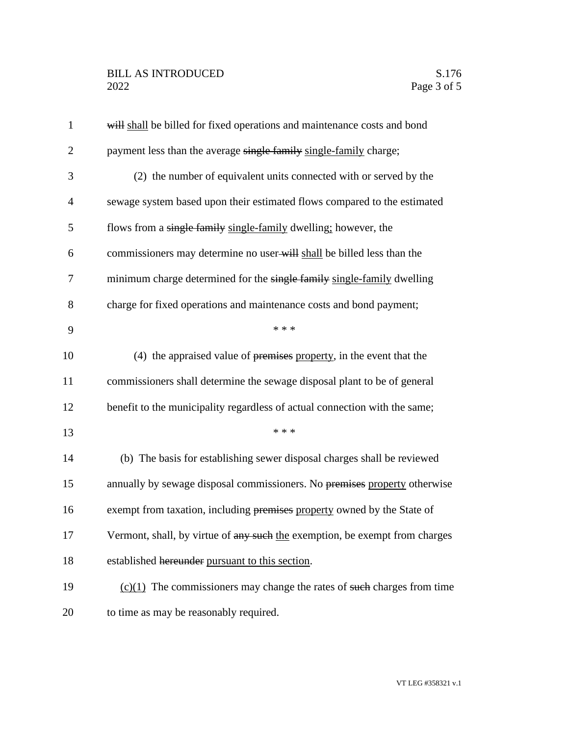| $\mathbf{1}$   | will shall be billed for fixed operations and maintenance costs and bond    |
|----------------|-----------------------------------------------------------------------------|
| $\overline{2}$ | payment less than the average single family single-family charge;           |
| 3              | (2) the number of equivalent units connected with or served by the          |
| $\overline{4}$ | sewage system based upon their estimated flows compared to the estimated    |
| 5              | flows from a single family single-family dwelling; however, the             |
| 6              | commissioners may determine no user-will shall be billed less than the      |
| 7              | minimum charge determined for the single family single-family dwelling      |
| 8              | charge for fixed operations and maintenance costs and bond payment;         |
| 9              | * * *                                                                       |
| 10             | (4) the appraised value of premises property, in the event that the         |
| 11             | commissioners shall determine the sewage disposal plant to be of general    |
| 12             | benefit to the municipality regardless of actual connection with the same;  |
| 13             | * * *                                                                       |
| 14             | (b) The basis for establishing sewer disposal charges shall be reviewed     |
| 15             | annually by sewage disposal commissioners. No premises property otherwise   |
| 16             | exempt from taxation, including premises property owned by the State of     |
| 17             | Vermont, shall, by virtue of any such the exemption, be exempt from charges |
| 18             | established hereunder pursuant to this section.                             |
| 19             | $(c)(1)$ The commissioners may change the rates of such charges from time   |
| 20             | to time as may be reasonably required.                                      |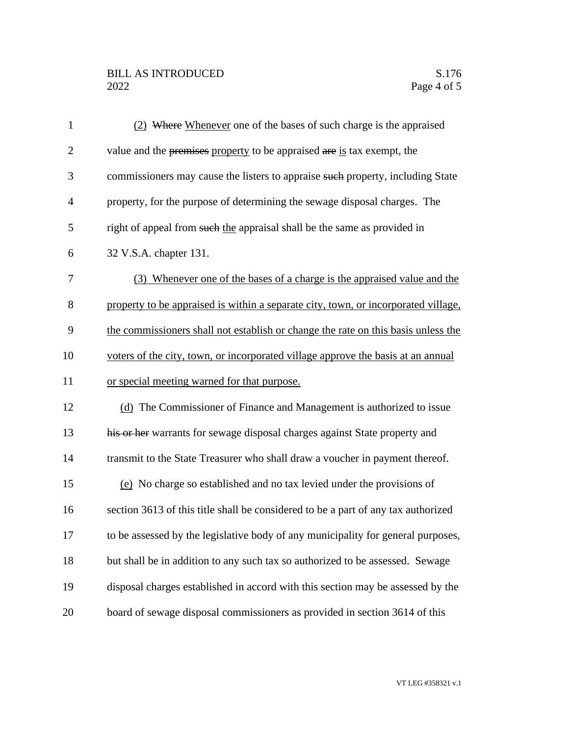## BILL AS INTRODUCED<br>2022 Page 4 of 5

| $\mathbf{1}$   | (2) Where Whenever one of the bases of such charge is the appraised                |
|----------------|------------------------------------------------------------------------------------|
| $\overline{2}$ | value and the premises property to be appraised are is tax exempt, the             |
| 3              | commissioners may cause the listers to appraise such property, including State     |
| $\overline{4}$ | property, for the purpose of determining the sewage disposal charges. The          |
| 5              | right of appeal from such the appraisal shall be the same as provided in           |
| 6              | 32 V.S.A. chapter 131.                                                             |
| 7              | (3) Whenever one of the bases of a charge is the appraised value and the           |
| 8              | property to be appraised is within a separate city, town, or incorporated village, |
| 9              | the commissioners shall not establish or change the rate on this basis unless the  |
| 10             | voters of the city, town, or incorporated village approve the basis at an annual   |
| 11             | or special meeting warned for that purpose.                                        |
| 12             | (d) The Commissioner of Finance and Management is authorized to issue              |
| 13             | his or her warrants for sewage disposal charges against State property and         |
| 14             | transmit to the State Treasurer who shall draw a voucher in payment thereof.       |
| 15             | (e) No charge so established and no tax levied under the provisions of             |
| 16             | section 3613 of this title shall be considered to be a part of any tax authorized  |
| 17             | to be assessed by the legislative body of any municipality for general purposes,   |
| 18             | but shall be in addition to any such tax so authorized to be assessed. Sewage      |
| 19             | disposal charges established in accord with this section may be assessed by the    |
| 20             | board of sewage disposal commissioners as provided in section 3614 of this         |